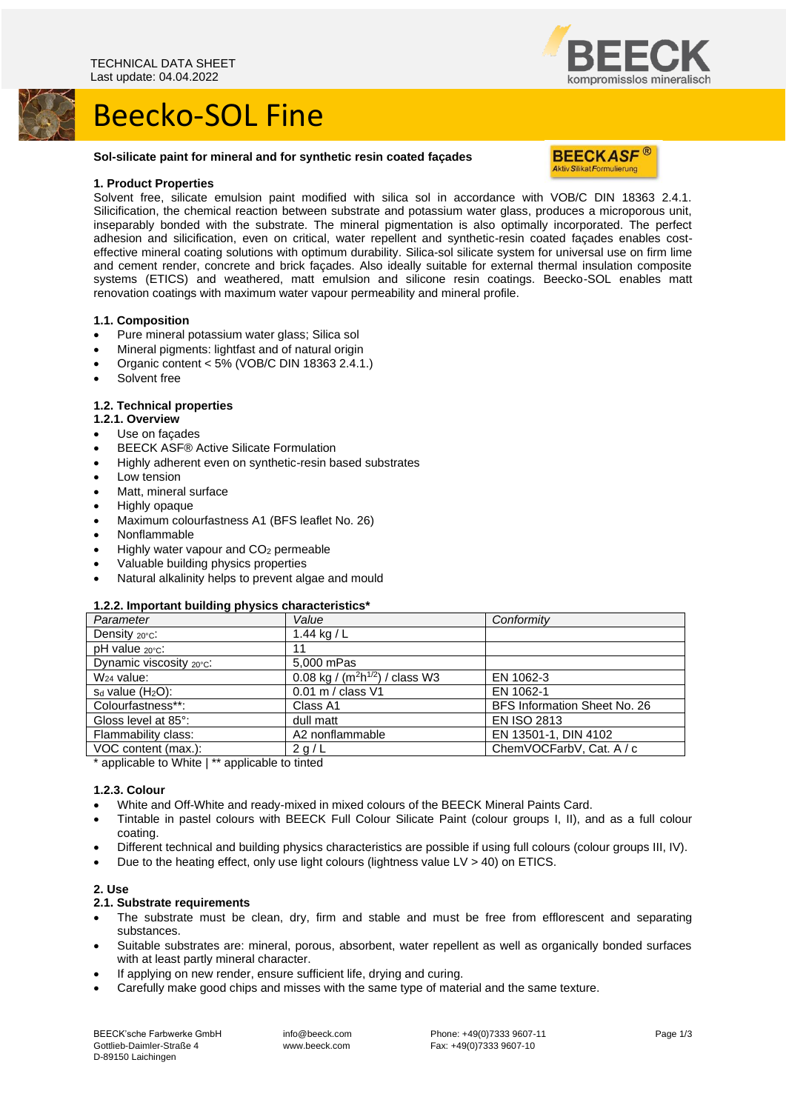# Beecko-SOL Fine



#### **Sol-silicate paint for mineral and for synthetic resin coated façades**



#### **1. Product Properties**

Solvent free, silicate emulsion paint modified with silica sol in accordance with VOB/C DIN 18363 2.4.1. Silicification, the chemical reaction between substrate and potassium water glass, produces a microporous unit, inseparably bonded with the substrate. The mineral pigmentation is also optimally incorporated. The perfect adhesion and silicification, even on critical, water repellent and synthetic-resin coated façades enables costeffective mineral coating solutions with optimum durability. Silica-sol silicate system for universal use on firm lime and cement render, concrete and brick façades. Also ideally suitable for external thermal insulation composite systems (ETICS) and weathered, matt emulsion and silicone resin coatings. Beecko-SOL enables matt renovation coatings with maximum water vapour permeability and mineral profile.

#### **1.1. Composition**

- Pure mineral potassium water glass; Silica sol
- Mineral pigments: lightfast and of natural origin
- Organic content  $< 5\%$  (VOB/C DIN 18363 2.4.1.)
- Solvent free

#### **1.2. Technical properties**

#### **1.2.1. Overview**

- Use on facades
- BEECK ASF® Active Silicate Formulation
- Highly adherent even on synthetic-resin based substrates
- Low tension
- Matt, mineral surface
- Highly opaque
- Maximum colourfastness A1 (BFS leaflet No. 26)
- Nonflammable
- Highly water vapour and CO<sub>2</sub> permeable
- Valuable building physics properties
- Natural alkalinity helps to prevent algae and mould

#### **1.2.2. Important building physics characteristics\***

| Value                                 | Conformity                   |
|---------------------------------------|------------------------------|
| 1.44 kg / $L$                         |                              |
| 11                                    |                              |
| 5,000 mPas                            |                              |
| 0.08 kg / ( $m^2h^{1/2}$ ) / class W3 | EN 1062-3                    |
| 0.01 m / class V1                     | EN 1062-1                    |
| Class A1                              | BFS Information Sheet No. 26 |
| dull matt                             | <b>EN ISO 2813</b>           |
| A2 nonflammable                       | EN 13501-1, DIN 4102         |
| 2 g/L                                 | ChemVOCFarbV, Cat. A / c     |
|                                       |                              |

\* applicable to White | \*\* applicable to tinted

#### **1.2.3. Colour**

- White and Off-White and ready-mixed in mixed colours of the BEECK Mineral Paints Card.
- Tintable in pastel colours with BEECK Full Colour Silicate Paint (colour groups I, II), and as a full colour coating.
- Different technical and building physics characteristics are possible if using full colours (colour groups III, IV).
- Due to the heating effect, only use light colours (lightness value LV > 40) on ETICS.

#### **2. Use**

#### **2.1. Substrate requirements**

- The substrate must be clean, dry, firm and stable and must be free from efflorescent and separating substances.
- Suitable substrates are: mineral, porous, absorbent, water repellent as well as organically bonded surfaces with at least partly mineral character.
- If applying on new render, ensure sufficient life, drying and curing.
- Carefully make good chips and misses with the same type of material and the same texture.

BEECK'sche Farbwerke GmbH Gottlieb-Daimler-Straße 4 D-89150 Laichingen

info@beeck.com www.beeck.com

Phone: +49(0)7333 9607-11 Fax: +49(0)7333 9607-10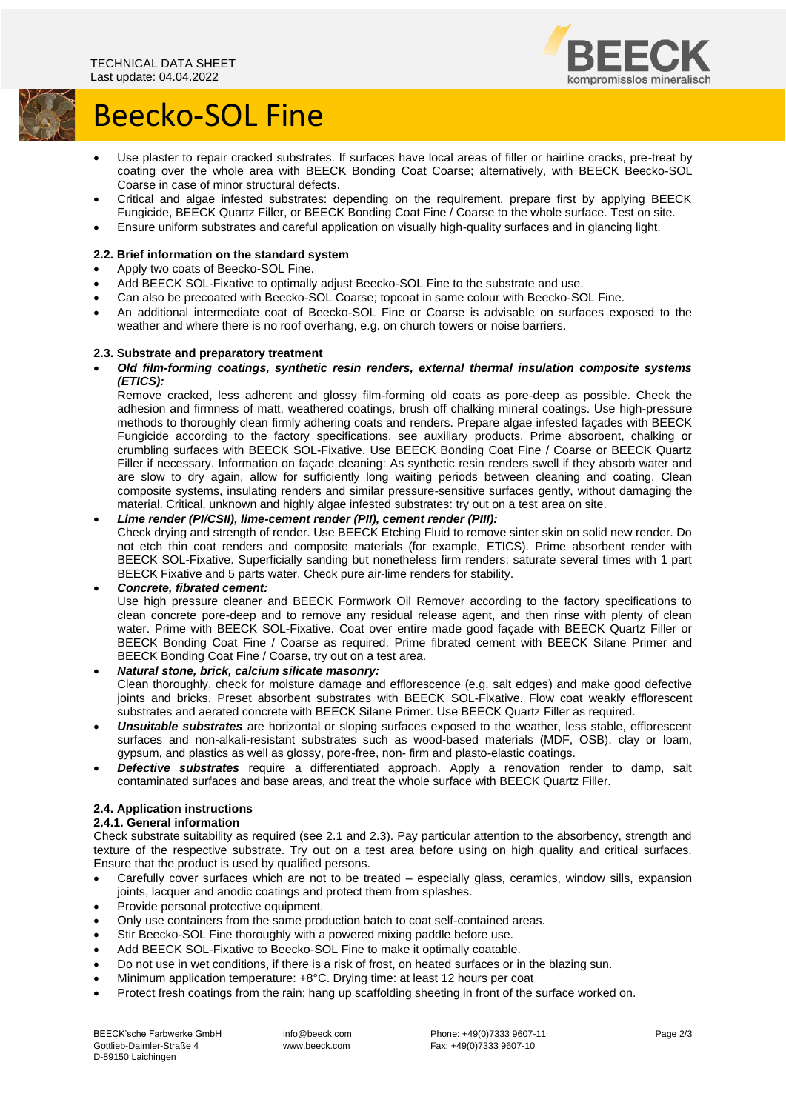

# Beecko-SOL Fine

- Use plaster to repair cracked substrates. If surfaces have local areas of filler or hairline cracks, pre-treat by coating over the whole area with BEECK Bonding Coat Coarse; alternatively, with BEECK Beecko-SOL Coarse in case of minor structural defects.
- Critical and algae infested substrates: depending on the requirement, prepare first by applying BEECK Fungicide, BEECK Quartz Filler, or BEECK Bonding Coat Fine / Coarse to the whole surface. Test on site.
- Ensure uniform substrates and careful application on visually high-quality surfaces and in glancing light.

# **2.2. Brief information on the standard system**

- Apply two coats of Beecko-SOL Fine.
- Add BEECK SOL-Fixative to optimally adjust Beecko-SOL Fine to the substrate and use.
- Can also be precoated with Beecko-SOL Coarse; topcoat in same colour with Beecko-SOL Fine.
- An additional intermediate coat of Beecko-SOL Fine or Coarse is advisable on surfaces exposed to the weather and where there is no roof overhang, e.g. on church towers or noise barriers.

# **2.3. Substrate and preparatory treatment**

• *Old film-forming coatings, synthetic resin renders, external thermal insulation composite systems (ETICS):*

Remove cracked, less adherent and glossy film-forming old coats as pore-deep as possible. Check the adhesion and firmness of matt, weathered coatings, brush off chalking mineral coatings. Use high-pressure methods to thoroughly clean firmly adhering coats and renders. Prepare algae infested façades with BEECK Fungicide according to the factory specifications, see auxiliary products. Prime absorbent, chalking or crumbling surfaces with BEECK SOL-Fixative. Use BEECK Bonding Coat Fine / Coarse or BEECK Quartz Filler if necessary. Information on façade cleaning: As synthetic resin renders swell if they absorb water and are slow to dry again, allow for sufficiently long waiting periods between cleaning and coating. Clean composite systems, insulating renders and similar pressure-sensitive surfaces gently, without damaging the material. Critical, unknown and highly algae infested substrates: try out on a test area on site.

# • *Lime render (PI/CSII), lime-cement render (PII), cement render (PIII):*

Check drying and strength of render. Use BEECK Etching Fluid to remove sinter skin on solid new render. Do not etch thin coat renders and composite materials (for example, ETICS). Prime absorbent render with BEECK SOL-Fixative. Superficially sanding but nonetheless firm renders: saturate several times with 1 part BEECK Fixative and 5 parts water. Check pure air-lime renders for stability.

#### • *Concrete, fibrated cement:*

Use high pressure cleaner and BEECK Formwork Oil Remover according to the factory specifications to clean concrete pore-deep and to remove any residual release agent, and then rinse with plenty of clean water. Prime with BEECK SOL-Fixative. Coat over entire made good façade with BEECK Quartz Filler or BEECK Bonding Coat Fine / Coarse as required. Prime fibrated cement with BEECK Silane Primer and BEECK Bonding Coat Fine / Coarse, try out on a test area.

# • *Natural stone, brick, calcium silicate masonry:*

Clean thoroughly, check for moisture damage and efflorescence (e.g. salt edges) and make good defective joints and bricks. Preset absorbent substrates with BEECK SOL-Fixative. Flow coat weakly efflorescent substrates and aerated concrete with BEECK Silane Primer. Use BEECK Quartz Filler as required.

- *Unsuitable substrates* are horizontal or sloping surfaces exposed to the weather, less stable, efflorescent surfaces and non-alkali-resistant substrates such as wood-based materials (MDF, OSB), clay or loam, gypsum, and plastics as well as glossy, pore-free, non- firm and plasto-elastic coatings.
- *Defective substrates* require a differentiated approach. Apply a renovation render to damp, salt contaminated surfaces and base areas, and treat the whole surface with BEECK Quartz Filler.

# **2.4. Application instructions**

#### **2.4.1. General information**

Check substrate suitability as required (see 2.1 and 2.3). Pay particular attention to the absorbency, strength and texture of the respective substrate. Try out on a test area before using on high quality and critical surfaces. Ensure that the product is used by qualified persons.

- Carefully cover surfaces which are not to be treated especially glass, ceramics, window sills, expansion joints, lacquer and anodic coatings and protect them from splashes.
- Provide personal protective equipment.
- Only use containers from the same production batch to coat self-contained areas.
- Stir Beecko-SOL Fine thoroughly with a powered mixing paddle before use.
- Add BEECK SOL-Fixative to Beecko-SOL Fine to make it optimally coatable.
- Do not use in wet conditions, if there is a risk of frost, on heated surfaces or in the blazing sun.
- Minimum application temperature: +8°C. Drying time: at least 12 hours per coat
- Protect fresh coatings from the rain; hang up scaffolding sheeting in front of the surface worked on.

info@beeck.com www.beeck.com